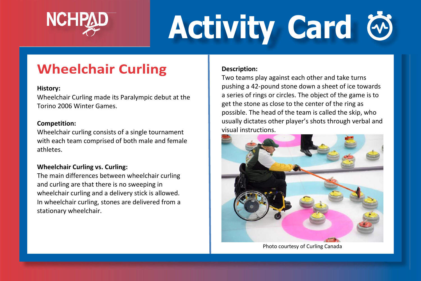

# **Activity Card**

## **Wheelchair Curling**

#### **History:**

Wheelchair Curling made its Paralympic debut at the Torino 2006 Winter Games.

#### **Competition:**

Wheelchair curling consists of a single tournament with each team comprised of both male and female athletes.

#### **Wheelchair Curling vs. Curling:**

The main differences between wheelchair curling and curling are that there is no sweeping in wheelchair curling and a delivery stick is allowed. In wheelchair curling, stones are delivered from a stationary wheelchair.

#### **Description:**

Two teams play against each other and take turns pushing a 42-pound stone down a sheet of ice towards a series of rings or circles. The object of the game is to get the stone as close to the center of the ring as possible. The head of the team is called the skip, who usually dictates other player's shots through verbal and visual instructions.



Photo courtesy of Curling Canada